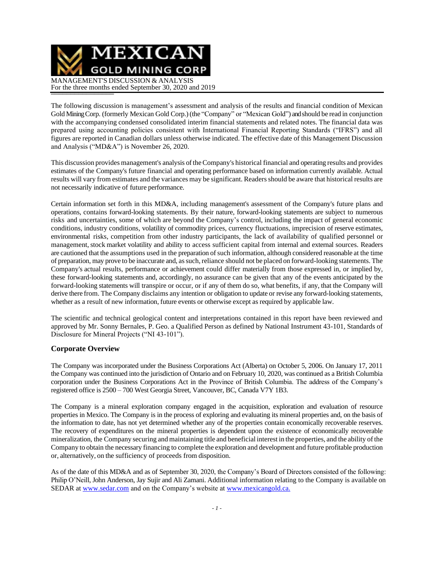

The following discussion is management's assessment and analysis of the results and financial condition of Mexican Gold Mining Corp. (formerly Mexican Gold Corp.) (the "Company" or "Mexican Gold") and should be read in conjunction with the accompanying condensed consolidated interim financial statements and related notes. The financial data was prepared using accounting policies consistent with International Financial Reporting Standards ("IFRS") and all figures are reported in Canadian dollars unless otherwise indicated. The effective date of this Management Discussion and Analysis ("MD&A") is November 26, 2020.

This discussion provides management's analysis oftheCompany's historical financial and operating results and provides estimates of the Company's future financial and operating performance based on information currently available. Actual results will vary from estimates and the variances may be significant. Readers should be aware that historical results are not necessarily indicative of future performance.

Certain information set forth in this MD&A, including management's assessment of the Company's future plans and operations, contains forward-looking statements. By their nature, forward-looking statements are subject to numerous risks and uncertainties, some of which are beyond the Company's control, including the impact of general economic conditions, industry conditions, volatility of commodity prices, currency fluctuations, imprecision of reserve estimates, environmental risks, competition from other industry participants, the lack of availability of qualified personnel or management, stock market volatility and ability to access sufficient capital from internal and external sources. Readers are cautioned that the assumptions used in the preparation of such information, although considered reasonable at the time of preparation, may prove to be inaccurate and, assuch,reliance should not be placed on forward-looking statements. The Company's actual results, performance or achievement could differ materially from those expressed in, or implied by, these forward-looking statements and, accordingly, no assurance can be given that any of the events anticipated by the forward-looking statements will transpire or occur, or if any of them do so, what benefits, if any, that the Company will derive there from. The Company disclaims any intention or obligation to update or revise any forward-looking statements, whether as a result of new information, future events or otherwise except as required by applicable law.

The scientific and technical geological content and interpretations contained in this report have been reviewed and approved by Mr. Sonny Bernales, P. Geo. a Qualified Person as defined by National Instrument 43-101, Standards of Disclosure for Mineral Projects ("NI 43-101").

### **Corporate Overview**

The Company was incorporated under the Business Corporations Act (Alberta) on October 5, 2006. On January 17, 2011 the Company was continued into the jurisdiction of Ontario and on February 10, 2020, was continued as a British Columbia corporation under the Business Corporations Act in the Province of British Columbia. The address of the Company's registered office is 2500 – 700 West Georgia Street, Vancouver, BC, Canada V7Y 1B3.

The Company is a mineral exploration company engaged in the acquisition, exploration and evaluation of resource properties in Mexico. The Company is in the process of exploring and evaluating its mineral properties and, on the basis of the information to date, has not yet determined whether any of the properties contain economically recoverable reserves. The recovery of expenditures on the mineral properties is dependent upon the existence of economically recoverable mineralization, the Company securing and maintaining title and beneficial interest in the properties, and the ability ofthe Company to obtain the necessary financing to complete the exploration and development and future profitable production or, alternatively, on the sufficiency of proceeds from disposition.

As of the date of this MD&A and as of September 30, 2020, the Company's Board of Directors consisted of the following: Philip O'Neill, John Anderson, Jay Sujir and Ali Zamani. Additional information relating to the Company is available on SEDAR at [www.sedar.com](http://www.sedar.com/) and on the Company's website at [www.mexicangold.ca.](http://www.mexicangold.ca./)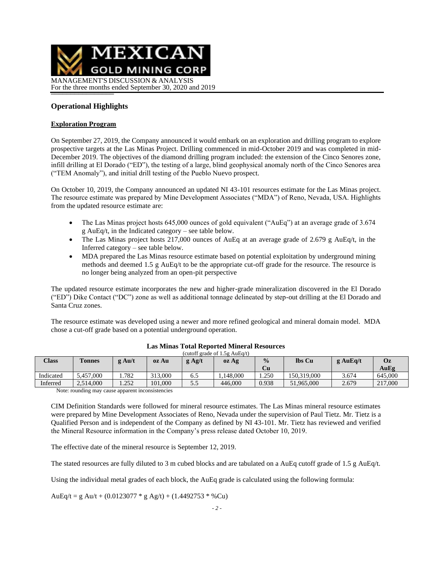

## **Operational Highlights**

#### **Exploration Program**

On September 27, 2019, the Company announced it would embark on an exploration and drilling program to explore prospective targets at the Las Minas Project. Drilling commenced in mid-October 2019 and was completed in mid-December 2019. The objectives of the diamond drilling program included: the extension of the Cinco Senores zone, infill drilling at El Dorado ("ED"), the testing of a large, blind geophysical anomaly north of the Cinco Senores area ("TEM Anomaly"), and initial drill testing of the Pueblo Nuevo prospect.

On October 10, 2019, the Company announced an updated NI 43-101 resources estimate for the Las Minas project. The resource estimate was prepared by Mine Development Associates ("MDA") of Reno, Nevada, USA. Highlights from the updated resource estimate are:

- The Las Minas project hosts 645,000 ounces of gold equivalent ("AuEq") at an average grade of 3.674 g AuEq/t, in the Indicated category – see table below.
- The Las Minas project hosts 217,000 ounces of AuEq at an average grade of 2.679 g AuEq/t, in the Inferred category – see table below.
- MDA prepared the Las Minas resource estimate based on potential exploitation by underground mining methods and deemed 1.5 g AuEq/t to be the appropriate cut-off grade for the resource. The resource is no longer being analyzed from an open-pit perspective

The updated resource estimate incorporates the new and higher-grade mineralization discovered in the El Dorado ("ED") Dike Contact ("DC") zone as well as additional tonnage delineated by step-out drilling at the El Dorado and Santa Cruz zones.

The resource estimate was developed using a newer and more refined geological and mineral domain model. MDA chose a cut-off grade based on a potential underground operation.

| Class     | <b>Tonnes</b> | $g \text{Au/t}$ | oz Au   | $g$ Ag/t | oz Ag    | $\frac{0}{0}$<br>Cu | lbs Cu      | $g$ AuEq/t | Oz<br>AuEg |
|-----------|---------------|-----------------|---------|----------|----------|---------------------|-------------|------------|------------|
|           |               |                 |         |          |          |                     |             |            |            |
| Indicated | 5.457,000     | 1.782           | 313,000 | 6.5      | .148.000 | . 250               | 150.319.000 | 3.674      | 645,000    |
| Inferred  | 2,514,000     | 1.252           | 101.000 | 5.5      | 446.000  | 0.938               | 51,965,000  | 2.679      | 217,000    |

#### **Las Minas Total Reported Mineral Resources** (cutoff grade of 1.5g AuEq/t)

Note: rounding may cause apparent inconsistencies

CIM Definition Standards were followed for mineral resource estimates. The Las Minas mineral resource estimates were prepared by Mine Development Associates of Reno, Nevada under the supervision of Paul Tietz. Mr. Tietz is a Qualified Person and is independent of the Company as defined by NI 43-101. Mr. Tietz has reviewed and verified the Mineral Resource information in the Company's press release dated October 10, 2019.

The effective date of the mineral resource is September 12, 2019.

The stated resources are fully diluted to 3 m cubed blocks and are tabulated on a AuEq cutoff grade of 1.5 g AuEq/t.

Using the individual metal grades of each block, the AuEq grade is calculated using the following formula:

AuEq/t = g Au/t + (0.0123077  $*$  g Ag/t) + (1.4492753  $*$  %Cu)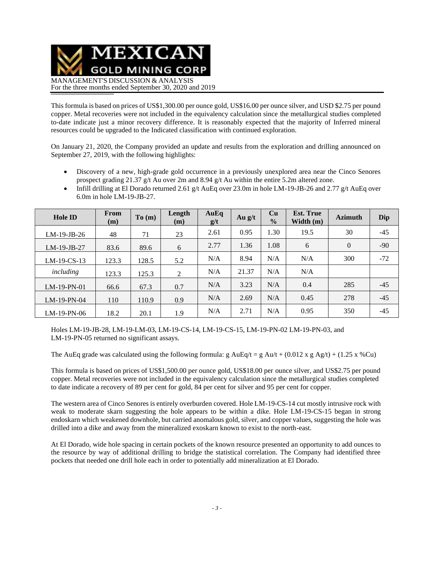

This formula is based on prices of US\$1,300.00 per ounce gold, US\$16.00 per ounce silver, and USD \$2.75 per pound copper. Metal recoveries were not included in the equivalency calculation since the metallurgical studies completed to-date indicate just a minor recovery difference. It is reasonably expected that the majority of Inferred mineral resources could be upgraded to the Indicated classification with continued exploration.

On January 21, 2020, the Company provided an update and results from the exploration and drilling announced on September 27, 2019, with the following highlights:

- Discovery of a new, high-grade gold occurrence in a previously unexplored area near the Cinco Senores prospect grading 21.37 g/t Au over 2m and 8.94 g/t Au within the entire 5.2m altered zone.
- Infill drilling at El Dorado returned 2.61 g/t AuEq over 23.0m in hole LM-19-JB-26 and 2.77 g/t AuEq over 6.0m in hole LM-19-JB-27.

| <b>Hole ID</b> | From<br>(m) | To(m) | Length<br>(m) | AuEq<br>g/t | Au $g/t$ | Cu<br>$\frac{0}{0}$ | <b>Est. True</b><br>Width $(m)$ | <b>Azimuth</b> | Dip   |
|----------------|-------------|-------|---------------|-------------|----------|---------------------|---------------------------------|----------------|-------|
| LM-19-JB-26    | 48          | 71    | 23            | 2.61        | 0.95     | 1.30                | 19.5                            | 30             | $-45$ |
| $LM-19-JB-27$  | 83.6        | 89.6  | 6             | 2.77        | 1.36     | 1.08                | 6                               | $\overline{0}$ | $-90$ |
| $LM-19-CS-13$  | 123.3       | 128.5 | 5.2           | N/A         | 8.94     | N/A                 | N/A                             | 300            | $-72$ |
| including      | 123.3       | 125.3 | 2             | N/A         | 21.37    | N/A                 | N/A                             |                |       |
| $LM-19-PN-01$  | 66.6        | 67.3  | 0.7           | N/A         | 3.23     | N/A                 | 0.4                             | 285            | $-45$ |
| $LM-19-PN-04$  | 110         | 110.9 | 0.9           | N/A         | 2.69     | N/A                 | 0.45                            | 278            | $-45$ |
| $LM-19-PN-06$  | 18.2        | 20.1  | 1.9           | N/A         | 2.71     | N/A                 | 0.95                            | 350            | $-45$ |

Holes LM-19-JB-28, LM-19-LM-03, LM-19-CS-14, LM-19-CS-15, LM-19-PN-02 LM-19-PN-03, and LM-19-PN-05 returned no significant assays.

The AuEq grade was calculated using the following formula: g AuEq/t = g Au/t + (0.012 x g Ag/t) + (1.25 x %Cu)

This formula is based on prices of US\$1,500.00 per ounce gold, US\$18.00 per ounce silver, and US\$2.75 per pound copper. Metal recoveries were not included in the equivalency calculation since the metallurgical studies completed to date indicate a recovery of 89 per cent for gold, 84 per cent for silver and 95 per cent for copper.

The western area of Cinco Senores is entirely overburden covered. Hole LM-19-CS-14 cut mostly intrusive rock with weak to moderate skarn suggesting the hole appears to be within a dike. Hole LM-19-CS-15 began in strong endoskarn which weakened downhole, but carried anomalous gold, silver, and copper values, suggesting the hole was drilled into a dike and away from the mineralized exoskarn known to exist to the north-east.

At El Dorado, wide hole spacing in certain pockets of the known resource presented an opportunity to add ounces to the resource by way of additional drilling to bridge the statistical correlation. The Company had identified three pockets that needed one drill hole each in order to potentially add mineralization at El Dorado.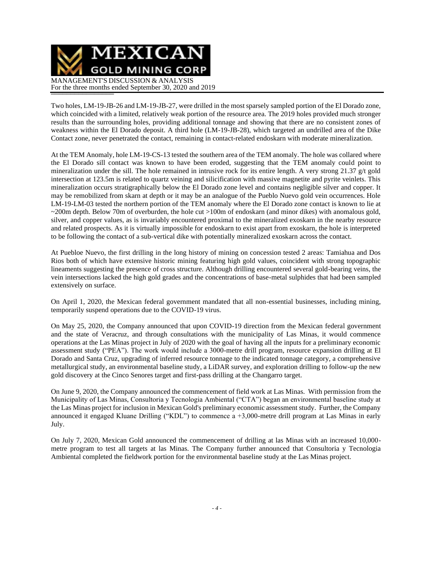

Two holes, LM-19-JB-26 and LM-19-JB-27, were drilled in the most sparsely sampled portion of the El Dorado zone, which coincided with a limited, relatively weak portion of the resource area. The 2019 holes provided much stronger results than the surrounding holes, providing additional tonnage and showing that there are no consistent zones of weakness within the El Dorado deposit. A third hole (LM-19-JB-28), which targeted an undrilled area of the Dike Contact zone, never penetrated the contact, remaining in contact-related endoskarn with moderate mineralization.

At the TEM Anomaly, hole LM-19-CS-13 tested the southern area of the TEM anomaly. The hole was collared where the El Dorado sill contact was known to have been eroded, suggesting that the TEM anomaly could point to mineralization under the sill. The hole remained in intrusive rock for its entire length. A very strong 21.37 g/t gold intersection at 123.5m is related to quartz veining and silicification with massive magnetite and pyrite veinlets. This mineralization occurs stratigraphically below the El Dorado zone level and contains negligible silver and copper. It may be remobilized from skarn at depth or it may be an analogue of the Pueblo Nuevo gold vein occurrences. Hole LM-19-LM-03 tested the northern portion of the TEM anomaly where the El Dorado zone contact is known to lie at ~200m depth. Below 70m of overburden, the hole cut >100m of endoskarn (and minor dikes) with anomalous gold, silver, and copper values, as is invariably encountered proximal to the mineralized exoskarn in the nearby resource and related prospects. As it is virtually impossible for endoskarn to exist apart from exoskarn, the hole is interpreted to be following the contact of a sub-vertical dike with potentially mineralized exoskarn across the contact.

At Puebloe Nuevo, the first drilling in the long history of mining on concession tested 2 areas: Tamiahua and Dos Rios both of which have extensive historic mining featuring high gold values, coincident with strong topographic lineaments suggesting the presence of cross structure. Although drilling encountered several gold-bearing veins, the vein intersections lacked the high gold grades and the concentrations of base-metal sulphides that had been sampled extensively on surface.

On April 1, 2020, the Mexican federal government mandated that all non-essential businesses, including mining, temporarily suspend operations due to the COVID-19 virus.

On May 25, 2020, the Company announced that upon COVID-19 direction from the Mexican federal government and the state of Veracruz, and through consultations with the municipality of Las Minas, it would commence operations at the Las Minas project in July of 2020 with the goal of having all the inputs for a preliminary economic assessment study ("PEA"). The work would include a 3000-metre drill program, resource expansion drilling at El Dorado and Santa Cruz, upgrading of inferred resource tonnage to the indicated tonnage category, a comprehensive metallurgical study, an environmental baseline study, a LiDAR survey, and exploration drilling to follow-up the new gold discovery at the Cinco Senores target and first-pass drilling at the Changarro target.

On June 9, 2020, the Company announced the commencement of field work at Las Minas. With permission from the Municipality of Las Minas, Consultoria y Tecnologia Ambiental ("CTA") began an environmental baseline study at the Las Minas project for inclusion in Mexican Gold's preliminary economic assessment study. Further, the Company announced it engaged Kluane Drilling ("KDL") to commence a +3,000-metre drill program at Las Minas in early July.

On July 7, 2020, Mexican Gold announced the commencement of drilling at las Minas with an increased 10,000 metre program to test all targets at las Minas. The Company further announced that Consultoria y Tecnologia Ambiental completed the fieldwork portion for the environmental baseline study at the Las Minas project.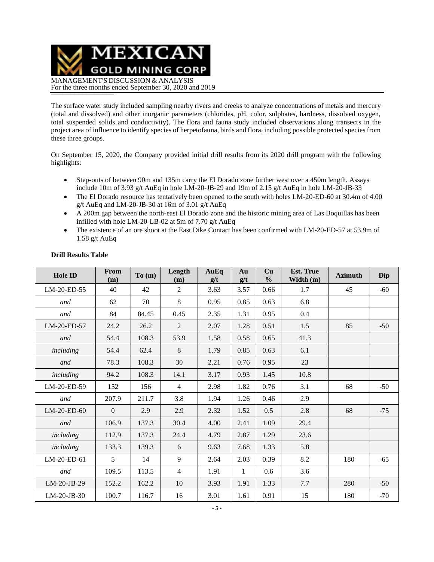MEXICAN **GOLD MINING CORP** MANAGEMENT'S DISCUSSION & ANALYSIS For the three months ended September 30, 2020 and 2019

The surface water study included sampling nearby rivers and creeks to analyze concentrations of metals and mercury (total and dissolved) and other inorganic parameters (chlorides, pH, color, sulphates, hardness, dissolved oxygen, total suspended solids and conductivity). The flora and fauna study included observations along transects in the project area of influence to identify species of herpetofauna, birds and flora, including possible protected species from these three groups.

On September 15, 2020, the Company provided initial drill results from its 2020 drill program with the following highlights:

- Step-outs of between 90m and 135m carry the El Dorado zone further west over a 450m length. Assays include 10m of 3.93 g/t AuEq in hole LM-20-JB-29 and 19m of 2.15 g/t AuEq in hole LM-20-JB-33
- The El Dorado resource has tentatively been opened to the south with holes LM-20-ED-60 at 30.4m of 4.00 g/t AuEq and LM-20-JB-30 at 16m of 3.01 g/t AuEq
- A 200m gap between the north-east El Dorado zone and the historic mining area of Las Boquillas has been infilled with hole LM-20-LB-02 at 5m of 7.70 g/t AuEq
- The existence of an ore shoot at the East Dike Contact has been confirmed with LM-20-ED-57 at 53.9m of 1.58 g/t AuEq

| Hole ID       | From<br>(m)  | To(m) | Length<br>(m)  | AuEq<br>g/t | Au<br>g/t    | Cu<br>$\frac{0}{0}$ | <b>Est. True</b><br>Width $(m)$ | <b>Azimuth</b> | Dip   |
|---------------|--------------|-------|----------------|-------------|--------------|---------------------|---------------------------------|----------------|-------|
| LM-20-ED-55   | 40           | 42    | 2              | 3.63        | 3.57         | 0.66                | 1.7                             | 45             | $-60$ |
| and           | 62           | 70    | 8              | 0.95        | 0.85         | 0.63                | 6.8                             |                |       |
| and           | 84           | 84.45 | 0.45           | 2.35        | 1.31         | 0.95                | 0.4                             |                |       |
| LM-20-ED-57   | 24.2         | 26.2  | $\overline{2}$ | 2.07        | 1.28         | 0.51                | 1.5                             | 85             | $-50$ |
| and           | 54.4         | 108.3 | 53.9           | 1.58        | 0.58         | 0.65                | 41.3                            |                |       |
| including     | 54.4         | 62.4  | 8              | 1.79        | 0.85         | 0.63                | 6.1                             |                |       |
| and           | 78.3         | 108.3 | 30             | 2.21        | 0.76         | 0.95                | 23                              |                |       |
| including     | 94.2         | 108.3 | 14.1           | 3.17        | 0.93         | 1.45                | 10.8                            |                |       |
| LM-20-ED-59   | 152          | 156   | $\overline{4}$ | 2.98        | 1.82         | 0.76                | 3.1                             | 68             | $-50$ |
| and           | 207.9        | 211.7 | 3.8            | 1.94        | 1.26         | 0.46                | 2.9                             |                |       |
| LM-20-ED-60   | $\mathbf{0}$ | 2.9   | 2.9            | 2.32        | 1.52         | 0.5                 | 2.8                             | 68             | $-75$ |
| and           | 106.9        | 137.3 | 30.4           | 4.00        | 2.41         | 1.09                | 29.4                            |                |       |
| including     | 112.9        | 137.3 | 24.4           | 4.79        | 2.87         | 1.29                | 23.6                            |                |       |
| including     | 133.3        | 139.3 | 6              | 9.63        | 7.68         | 1.33                | 5.8                             |                |       |
| LM-20-ED-61   | 5            | 14    | 9              | 2.64        | 2.03         | 0.39                | 8.2                             | 180            | $-65$ |
| and           | 109.5        | 113.5 | $\overline{4}$ | 1.91        | $\mathbf{1}$ | 0.6                 | 3.6                             |                |       |
| LM-20-JB-29   | 152.2        | 162.2 | 10             | 3.93        | 1.91         | 1.33                | 7.7                             | 280            | $-50$ |
| $LM-20-JB-30$ | 100.7        | 116.7 | 16             | 3.01        | 1.61         | 0.91                | 15                              | 180            | $-70$ |

### **Drill Results Table**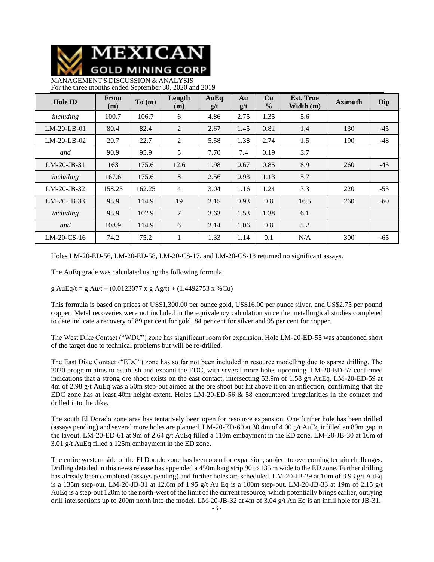

MANAGEMENT'S DISCUSSION & ANALYSIS For the three months ended September 30, 2020 and 2019

| <b>Hole ID</b> | From<br>(m) | To(m)  | Length<br>(m)  | AuEq<br>g/t | Au<br>g/t | Cu<br>$\frac{0}{0}$ | <b>Est. True</b><br>Width $(m)$ | <b>Azimuth</b> | Dip   |
|----------------|-------------|--------|----------------|-------------|-----------|---------------------|---------------------------------|----------------|-------|
| including      | 100.7       | 106.7  | 6              | 4.86        | 2.75      | 1.35                | 5.6                             |                |       |
| $LM-20-LB-01$  | 80.4        | 82.4   | 2              | 2.67        | 1.45      | 0.81                | 1.4                             | 130            | $-45$ |
| $LM-20-LB-02$  | 20.7        | 22.7   | 2              | 5.58        | 1.38      | 2.74                | 1.5                             | 190            | $-48$ |
| and            | 90.9        | 95.9   | 5              | 7.70        | 7.4       | 0.19                | 3.7                             |                |       |
| $LM-20-JB-31$  | 163         | 175.6  | 12.6           | 1.98        | 0.67      | 0.85                | 8.9                             | 260            | $-45$ |
| including      | 167.6       | 175.6  | 8              | 2.56        | 0.93      | 1.13                | 5.7                             |                |       |
| $LM-20-JB-32$  | 158.25      | 162.25 | $\overline{4}$ | 3.04        | 1.16      | 1.24                | 3.3                             | 220            | $-55$ |
| $LM-20-JB-33$  | 95.9        | 114.9  | 19             | 2.15        | 0.93      | 0.8                 | 16.5                            | 260            | $-60$ |
| including      | 95.9        | 102.9  | 7              | 3.63        | 1.53      | 1.38                | 6.1                             |                |       |
| and            | 108.9       | 114.9  | 6              | 2.14        | 1.06      | 0.8                 | 5.2                             |                |       |
| $LM-20$ -CS-16 | 74.2        | 75.2   | 1              | 1.33        | 1.14      | 0.1                 | N/A                             | 300            | $-65$ |

Holes LM-20-ED-56, LM-20-ED-58, LM-20-CS-17, and LM-20-CS-18 returned no significant assays.

The AuEq grade was calculated using the following formula:

g AuEq/t = g Au/t + (0.0123077 x g Ag/t) + (1.4492753 x %Cu)

This formula is based on prices of US\$1,300.00 per ounce gold, US\$16.00 per ounce silver, and US\$2.75 per pound copper. Metal recoveries were not included in the equivalency calculation since the metallurgical studies completed to date indicate a recovery of 89 per cent for gold, 84 per cent for silver and 95 per cent for copper.

The West Dike Contact ("WDC") zone has significant room for expansion. Hole LM-20-ED-55 was abandoned short of the target due to technical problems but will be re-drilled.

The East Dike Contact ("EDC") zone has so far not been included in resource modelling due to sparse drilling. The 2020 program aims to establish and expand the EDC, with several more holes upcoming. LM-20-ED-57 confirmed indications that a strong ore shoot exists on the east contact, intersecting 53.9m of 1.58 g/t AuEq. LM-20-ED-59 at 4m of 2.98 g/t AuEq was a 50m step-out aimed at the ore shoot but hit above it on an inflection, confirming that the EDC zone has at least 40m height extent. Holes LM-20-ED-56 & 58 encountered irregularities in the contact and drilled into the dike.

The south El Dorado zone area has tentatively been open for resource expansion. One further hole has been drilled (assays pending) and several more holes are planned. LM-20-ED-60 at 30.4m of 4.00 g/t AuEq infilled an 80m gap in the layout. LM-20-ED-61 at 9m of 2.64 g/t AuEq filled a 110m embayment in the ED zone. LM-20-JB-30 at 16m of 3.01 g/t AuEq filled a 125m embayment in the ED zone.

The entire western side of the El Dorado zone has been open for expansion, subject to overcoming terrain challenges. Drilling detailed in this news release has appended a 450m long strip 90 to 135 m wide to the ED zone. Further drilling has already been completed (assays pending) and further holes are scheduled. LM-20-JB-29 at 10m of 3.93 g/t AuEq is a 135m step-out. LM-20-JB-31 at 12.6m of 1.95 g/t Au Eq is a 100m step-out. LM-20-JB-33 at 19m of 2.15 g/t AuEq is a step-out 120m to the north-west of the limit of the current resource, which potentially brings earlier, outlying drill intersections up to 200m north into the model. LM-20-JB-32 at 4m of 3.04 g/t Au Eq is an infill hole for JB-31.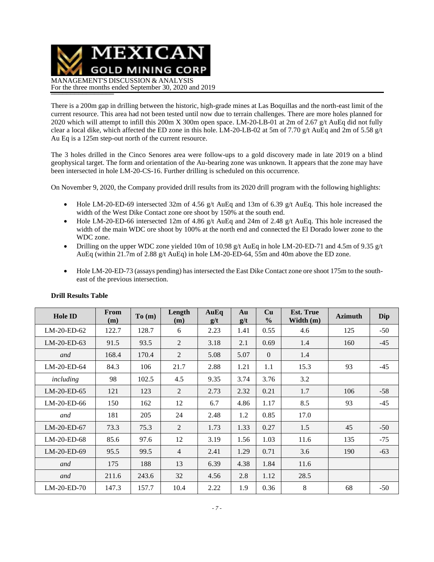MEXICAN **GOLD MINING CORP** MANAGEMENT'S DISCUSSION & ANALYSIS For the three months ended September 30, 2020 and 2019

There is a 200m gap in drilling between the historic, high-grade mines at Las Boquillas and the north-east limit of the current resource. This area had not been tested until now due to terrain challenges. There are more holes planned for 2020 which will attempt to infill this 200m X 300m open space. LM-20-LB-01 at 2m of 2.67 g/t AuEq did not fully clear a local dike, which affected the ED zone in this hole. LM-20-LB-02 at 5m of 7.70 g/t AuEq and 2m of 5.58 g/t Au Eq is a 125m step-out north of the current resource.

The 3 holes drilled in the Cinco Senores area were follow-ups to a gold discovery made in late 2019 on a blind geophysical target. The form and orientation of the Au-bearing zone was unknown. It appears that the zone may have been intersected in hole LM-20-CS-16. Further drilling is scheduled on this occurrence.

On November 9, 2020, the Company provided drill results from its 2020 drill program with the following highlights:

- Hole LM-20-ED-69 intersected 32m of 4.56 g/t AuEq and 13m of 6.39 g/t AuEq. This hole increased the width of the West Dike Contact zone ore shoot by 150% at the south end.
- Hole LM-20-ED-66 intersected 12m of 4.86 g/t AuEq and 24m of 2.48 g/t AuEq. This hole increased the width of the main WDC ore shoot by 100% at the north end and connected the El Dorado lower zone to the WDC zone.
- Drilling on the upper WDC zone yielded 10m of 10.98 g/t AuEq in hole LM-20-ED-71 and 4.5m of 9.35 g/t AuEq (within 21.7m of 2.88 g/t AuEq) in hole LM-20-ED-64, 55m and 40m above the ED zone.
- Hole LM-20-ED-73 (assays pending) has intersected the East Dike Contact zone ore shoot 175m to the southeast of the previous intersection.

| <b>Hole ID</b> | From<br>(m) | To(m) | Length<br>(m)  | AuEq<br>g/t | Au<br>g/t | Cu<br>$\frac{0}{0}$ | <b>Est. True</b><br>Width (m) | <b>Azimuth</b> | Dip   |
|----------------|-------------|-------|----------------|-------------|-----------|---------------------|-------------------------------|----------------|-------|
| $LM-20-ED-62$  | 122.7       | 128.7 | 6              | 2.23        | 1.41      | 0.55                | 4.6                           | 125            | $-50$ |
| LM-20-ED-63    | 91.5        | 93.5  | 2              | 3.18        | 2.1       | 0.69                | 1.4                           | 160            | $-45$ |
| and            | 168.4       | 170.4 | 2              | 5.08        | 5.07      | $\overline{0}$      | 1.4                           |                |       |
| LM-20-ED-64    | 84.3        | 106   | 21.7           | 2.88        | 1.21      | 1.1                 | 15.3                          | 93             | $-45$ |
| including      | 98          | 102.5 | 4.5            | 9.35        | 3.74      | 3.76                | 3.2                           |                |       |
| LM-20-ED-65    | 121         | 123   | 2              | 2.73        | 2.32      | 0.21                | 1.7                           | 106            | $-58$ |
| LM-20-ED-66    | 150         | 162   | 12             | 6.7         | 4.86      | 1.17                | 8.5                           | 93             | $-45$ |
| and            | 181         | 205   | 24             | 2.48        | 1.2       | 0.85                | 17.0                          |                |       |
| $LM-20-ED-67$  | 73.3        | 75.3  | 2              | 1.73        | 1.33      | 0.27                | 1.5                           | 45             | $-50$ |
| LM-20-ED-68    | 85.6        | 97.6  | 12             | 3.19        | 1.56      | 1.03                | 11.6                          | 135            | $-75$ |
| LM-20-ED-69    | 95.5        | 99.5  | $\overline{4}$ | 2.41        | 1.29      | 0.71                | 3.6                           | 190            | $-63$ |
| and            | 175         | 188   | 13             | 6.39        | 4.38      | 1.84                | 11.6                          |                |       |
| and            | 211.6       | 243.6 | 32             | 4.56        | 2.8       | 1.12                | 28.5                          |                |       |
| $LM-20-ED-70$  | 147.3       | 157.7 | 10.4           | 2.22        | 1.9       | 0.36                | 8                             | 68             | $-50$ |

### **Drill Results Table**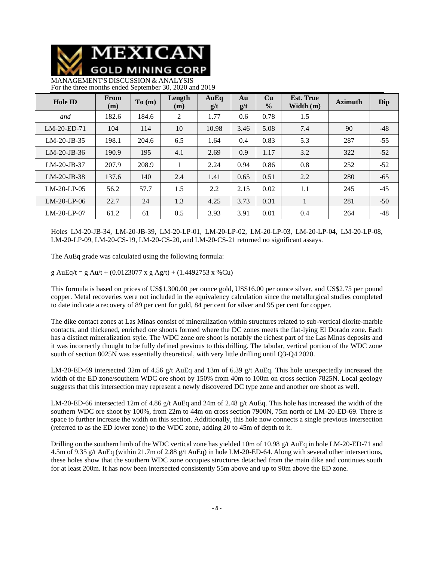

MANAGEMENT'S DISCUSSION & ANALYSIS For the three months ended September 30, 2020 and 2019

| <b>Hole ID</b> | From<br>(m) | To(m) | Length<br>(m) | AuEq<br>g/t | Au<br>g/t | Cu<br>$\frac{0}{0}$ | <b>Est. True</b><br>Width $(m)$ | <b>Azimuth</b> | Dip   |
|----------------|-------------|-------|---------------|-------------|-----------|---------------------|---------------------------------|----------------|-------|
| and            | 182.6       | 184.6 | 2             | 1.77        | 0.6       | 0.78                | 1.5                             |                |       |
| $LM-20-ED-71$  | 104         | 114   | 10            | 10.98       | 3.46      | 5.08                | 7.4                             | 90             | $-48$ |
| $LM-20-JB-35$  | 198.1       | 204.6 | 6.5           | 1.64        | 0.4       | 0.83                | 5.3                             | 287            | $-55$ |
| $LM-20-JB-36$  | 190.9       | 195   | 4.1           | 2.69        | 0.9       | 1.17                | 3.2                             | 322            | $-52$ |
| $LM-20-JB-37$  | 207.9       | 208.9 |               | 2.24        | 0.94      | 0.86                | 0.8                             | 252            | $-52$ |
| $LM-20-JB-38$  | 137.6       | 140   | 2.4           | 1.41        | 0.65      | 0.51                | 2.2                             | 280            | $-65$ |
| $LM-20-LP-05$  | 56.2        | 57.7  | 1.5           | 2.2         | 2.15      | 0.02                | 1.1                             | 245            | $-45$ |
| $LM-20-LP-06$  | 22.7        | 24    | 1.3           | 4.25        | 3.73      | 0.31                | 1                               | 281            | $-50$ |
| $LM-20-LP-07$  | 61.2        | 61    | 0.5           | 3.93        | 3.91      | 0.01                | 0.4                             | 264            | $-48$ |

Holes LM-20-JB-34, LM-20-JB-39, LM-20-LP-01, LM-20-LP-02, LM-20-LP-03, LM-20-LP-04, LM-20-LP-08, LM-20-LP-09, LM-20-CS-19, LM-20-CS-20, and LM-20-CS-21 returned no significant assays.

The AuEq grade was calculated using the following formula:

g AuEq/t = g Au/t + (0.0123077 x g Ag/t) + (1.4492753 x %Cu)

This formula is based on prices of US\$1,300.00 per ounce gold, US\$16.00 per ounce silver, and US\$2.75 per pound copper. Metal recoveries were not included in the equivalency calculation since the metallurgical studies completed to date indicate a recovery of 89 per cent for gold, 84 per cent for silver and 95 per cent for copper.

The dike contact zones at Las Minas consist of mineralization within structures related to sub-vertical diorite-marble contacts, and thickened, enriched ore shoots formed where the DC zones meets the flat-lying El Dorado zone. Each has a distinct mineralization style. The WDC zone ore shoot is notably the richest part of the Las Minas deposits and it was incorrectly thought to be fully defined previous to this drilling. The tabular, vertical portion of the WDC zone south of section 8025N was essentially theoretical, with very little drilling until Q3-Q4 2020.

LM-20-ED-69 intersected 32m of 4.56 g/t AuEq and 13m of 6.39 g/t AuEq. This hole unexpectedly increased the width of the ED zone/southern WDC ore shoot by 150% from 40m to 100m on cross section 7825N. Local geology suggests that this intersection may represent a newly discovered DC type zone and another ore shoot as well.

LM-20-ED-66 intersected 12m of 4.86 g/t AuEq and 24m of 2.48 g/t AuEq. This hole has increased the width of the southern WDC ore shoot by 100%, from 22m to 44m on cross section 7900N, 75m north of LM-20-ED-69. There is space to further increase the width on this section. Additionally, this hole now connects a single previous intersection (referred to as the ED lower zone) to the WDC zone, adding 20 to 45m of depth to it.

Drilling on the southern limb of the WDC vertical zone has yielded 10m of 10.98 g/t AuEq in hole LM-20-ED-71 and 4.5m of 9.35 g/t AuEq (within 21.7m of 2.88 g/t AuEq) in hole LM-20-ED-64. Along with several other intersections, these holes show that the southern WDC zone occupies structures detached from the main dike and continues south for at least 200m. It has now been intersected consistently 55m above and up to 90m above the ED zone.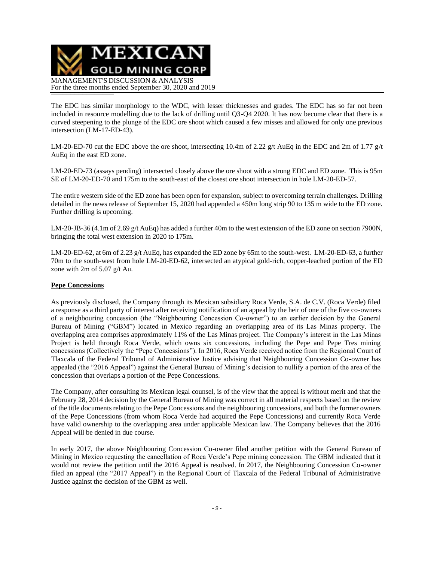

The EDC has similar morphology to the WDC, with lesser thicknesses and grades. The EDC has so far not been included in resource modelling due to the lack of drilling until Q3-Q4 2020. It has now become clear that there is a curved steepening to the plunge of the EDC ore shoot which caused a few misses and allowed for only one previous intersection (LM-17-ED-43).

LM-20-ED-70 cut the EDC above the ore shoot, intersecting 10.4m of 2.22 g/t AuEq in the EDC and 2m of 1.77 g/t AuEq in the east ED zone.

LM-20-ED-73 (assays pending) intersected closely above the ore shoot with a strong EDC and ED zone. This is 95m SE of LM-20-ED-70 and 175m to the south-east of the closest ore shoot intersection in hole LM-20-ED-57.

The entire western side of the ED zone has been open for expansion, subject to overcoming terrain challenges. Drilling detailed in the news release of September 15, 2020 had appended a 450m long strip 90 to 135 m wide to the ED zone. Further drilling is upcoming.

LM-20-JB-36 (4.1m of 2.69 g/t AuEq) has added a further 40m to the west extension of the ED zone on section 7900N, bringing the total west extension in 2020 to 175m.

LM-20-ED-62, at 6m of 2.23 g/t AuEq, has expanded the ED zone by 65m to the south-west. LM-20-ED-63, a further 70m to the south-west from hole LM-20-ED-62, intersected an atypical gold-rich, copper-leached portion of the ED zone with 2m of 5.07 g/t Au.

### **Pepe Concessions**

As previously disclosed, the Company through its Mexican subsidiary Roca Verde, S.A. de C.V. (Roca Verde) filed a response as a third party of interest after receiving notification of an appeal by the heir of one of the five co-owners of a neighbouring concession (the "Neighbouring Concession Co-owner") to an earlier decision by the General Bureau of Mining ("GBM") located in Mexico regarding an overlapping area of its Las Minas property. The overlapping area comprises approximately 11% of the Las Minas project. The Company's interest in the Las Minas Project is held through Roca Verde, which owns six concessions, including the Pepe and Pepe Tres mining concessions (Collectively the "Pepe Concessions"). In 2016, Roca Verde received notice from the Regional Court of Tlaxcala of the Federal Tribunal of Administrative Justice advising that Neighbouring Concession Co-owner has appealed (the "2016 Appeal") against the General Bureau of Mining's decision to nullify a portion of the area of the concession that overlaps a portion of the Pepe Concessions.

The Company, after consulting its Mexican legal counsel, is of the view that the appeal is without merit and that the February 28, 2014 decision by the General Bureau of Mining was correct in all material respects based on the review of the title documents relating to the Pepe Concessions and the neighbouring concessions, and both the former owners of the Pepe Concessions (from whom Roca Verde had acquired the Pepe Concessions) and currently Roca Verde have valid ownership to the overlapping area under applicable Mexican law. The Company believes that the 2016 Appeal will be denied in due course.

In early 2017, the above Neighbouring Concession Co-owner filed another petition with the General Bureau of Mining in Mexico requesting the cancellation of Roca Verde's Pepe mining concession. The GBM indicated that it would not review the petition until the 2016 Appeal is resolved. In 2017, the Neighbouring Concession Co-owner filed an appeal (the "2017 Appeal") in the Regional Court of Tlaxcala of the Federal Tribunal of Administrative Justice against the decision of the GBM as well.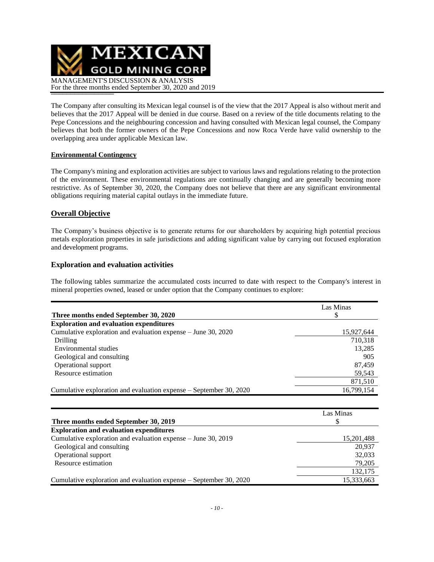

The Company after consulting its Mexican legal counsel is of the view that the 2017 Appeal is also without merit and believes that the 2017 Appeal will be denied in due course. Based on a review of the title documents relating to the Pepe Concessions and the neighbouring concession and having consulted with Mexican legal counsel, the Company believes that both the former owners of the Pepe Concessions and now Roca Verde have valid ownership to the overlapping area under applicable Mexican law.

### **Environmental Contingency**

The Company's mining and exploration activities are subject to various laws and regulations relating to the protection of the environment. These environmental regulations are continually changing and are generally becoming more restrictive. As of September 30, 2020, the Company does not believe that there are any significant environmental obligations requiring material capital outlays in the immediate future.

### **Overall Objective**

The Company's business objective is to generate returns for our shareholders by acquiring high potential precious metals exploration properties in safe jurisdictions and adding significant value by carrying out focused exploration and development programs.

### **Exploration and evaluation activities**

The following tables summarize the accumulated costs incurred to date with respect to the Company's interest in mineral properties owned, leased or under option that the Company continues to explore:

|                                                                    | Las Minas  |
|--------------------------------------------------------------------|------------|
| Three months ended September 30, 2020                              | \$         |
| <b>Exploration and evaluation expenditures</b>                     |            |
| Cumulative exploration and evaluation expense – June 30, 2020      | 15,927,644 |
| Drilling                                                           | 710,318    |
| Environmental studies                                              | 13,285     |
| Geological and consulting                                          | 905        |
| Operational support                                                | 87,459     |
| Resource estimation                                                | 59,543     |
|                                                                    | 871,510    |
| Cumulative exploration and evaluation expense – September 30, 2020 | 16,799,154 |
|                                                                    |            |
|                                                                    | Las Minas  |
| Three months ended September 30, 2019                              | S          |
| <b>Exploration and evaluation expenditures</b>                     |            |
| Cumulative exploration and evaluation expense – June 30, 2019      | 15,201,488 |
| Geological and consulting                                          | 20,937     |
| Operational support                                                | 32,033     |
| Resource estimation                                                | 79.205     |

Cumulative exploration and evaluation expense – September 30, 2020 15,333,663

132,175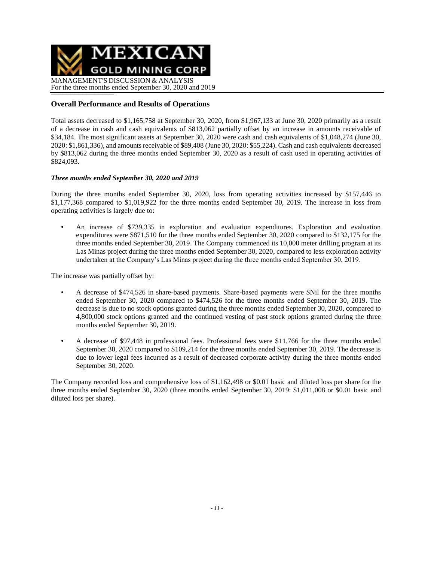

### **Overall Performance and Results of Operations**

Total assets decreased to \$1,165,758 at September 30, 2020, from \$1,967,133 at June 30, 2020 primarily as a result of a decrease in cash and cash equivalents of \$813,062 partially offset by an increase in amounts receivable of \$34,184. The most significant assets at September 30, 2020 were cash and cash equivalents of \$1,048,274 (June 30, 2020: \$1,861,336), and amounts receivable of \$89,408 (June 30, 2020: \$55,224). Cash and cash equivalents decreased by \$813,062 during the three months ended September 30, 2020 as a result of cash used in operating activities of \$824,093.

### *Three months ended September 30, 2020 and 2019*

During the three months ended September 30, 2020, loss from operating activities increased by \$157,446 to \$1,177,368 compared to \$1,019,922 for the three months ended September 30, 2019. The increase in loss from operating activities is largely due to:

• An increase of \$739,335 in exploration and evaluation expenditures. Exploration and evaluation expenditures were \$871,510 for the three months ended September 30, 2020 compared to \$132,175 for the three months ended September 30, 2019. The Company commenced its 10,000 meter drilling program at its Las Minas project during the three months ended September 30, 2020, compared to less exploration activity undertaken at the Company's Las Minas project during the three months ended September 30, 2019.

The increase was partially offset by:

- A decrease of \$474,526 in share-based payments. Share-based payments were \$Nil for the three months ended September 30, 2020 compared to \$474,526 for the three months ended September 30, 2019. The decrease is due to no stock options granted during the three months ended September 30, 2020, compared to 4,800,000 stock options granted and the continued vesting of past stock options granted during the three months ended September 30, 2019.
- A decrease of \$97,448 in professional fees. Professional fees were \$11,766 for the three months ended September 30, 2020 compared to \$109,214 for the three months ended September 30, 2019. The decrease is due to lower legal fees incurred as a result of decreased corporate activity during the three months ended September 30, 2020.

The Company recorded loss and comprehensive loss of \$1,162,498 or \$0.01 basic and diluted loss per share for the three months ended September 30, 2020 (three months ended September 30, 2019: \$1,011,008 or \$0.01 basic and diluted loss per share).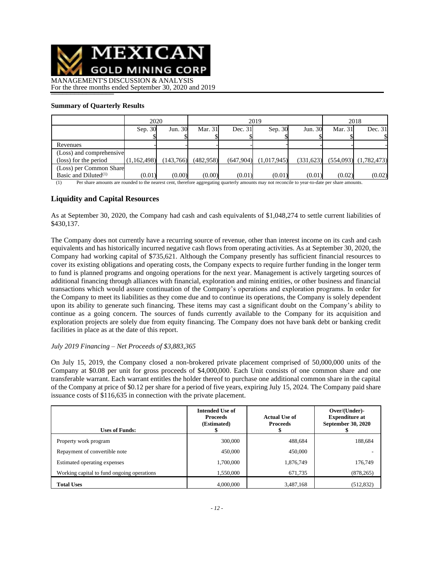

For the three months ended September 30, 2020 and 2019

### **Summary of Quarterly Results**

|                          | 2020               |           |           | 2019      | 2018        |           |         |                           |
|--------------------------|--------------------|-----------|-----------|-----------|-------------|-----------|---------|---------------------------|
|                          | Sep. 30<br>Jun. 30 |           | Mar. 31   | Dec. 31   | Sep. 30     | Jun. 30   | Mar. 31 | Dec. 31                   |
|                          |                    |           |           |           |             |           |         | \$                        |
| Revenues                 |                    |           |           |           |             |           |         |                           |
| (Loss) and comprehensive |                    |           |           |           |             |           |         |                           |
| (loss) for the period    | (1,162,498)        | (143,766) | (482.958) | (647,904) | (1,017,945) | (331,623) |         | $(554,093)$ $(1,782,473)$ |
| (Loss) per Common Share  |                    |           |           |           |             |           |         |                           |
| Basic and Diluted $(1)$  | (0.01)             | (0.00)    | (0.00)    | (0.01)    | (0.01)      | (0.01)    | (0.02)  | (0.02)                    |

(1) Per share amounts are rounded to the nearest cent, therefore aggregating quarterly amounts may not reconcile to year-to-date per share amounts.

## **Liquidity and Capital Resources**

As at September 30, 2020, the Company had cash and cash equivalents of \$1,048,274 to settle current liabilities of \$430,137.

The Company does not currently have a recurring source of revenue, other than interest income on its cash and cash equivalents and has historically incurred negative cash flows from operating activities. As at September 30, 2020, the Company had working capital of \$735,621. Although the Company presently has sufficient financial resources to cover its existing obligations and operating costs, the Company expects to require further funding in the longer term to fund is planned programs and ongoing operations for the next year. Management is actively targeting sources of additional financing through alliances with financial, exploration and mining entities, or other business and financial transactions which would assure continuation of the Company's operations and exploration programs. In order for the Company to meet its liabilities as they come due and to continue its operations, the Company is solely dependent upon its ability to generate such financing. These items may cast a significant doubt on the Company's ability to continue as a going concern. The sources of funds currently available to the Company for its acquisition and exploration projects are solely due from equity financing. The Company does not have bank debt or banking credit facilities in place as at the date of this report.

### *July 2019 Financing – Net Proceeds of \$3,883,365*

On July 15, 2019, the Company closed a non-brokered private placement comprised of 50,000,000 units of the Company at \$0.08 per unit for gross proceeds of \$4,000,000. Each Unit consists of one common share and one transferable warrant. Each warrant entitles the holder thereof to purchase one additional common share in the capital of the Company at price of \$0.12 per share for a period of five years, expiring July 15, 2024. The Company paid share issuance costs of \$116,635 in connection with the private placement.

| <b>Uses of Funds:</b>                      | <b>Intended Use of</b><br><b>Proceeds</b><br>(Estimated) | <b>Actual Use of</b><br><b>Proceeds</b> | Over/(Under)-<br><b>Expenditure at</b><br><b>September 30, 2020</b> |
|--------------------------------------------|----------------------------------------------------------|-----------------------------------------|---------------------------------------------------------------------|
| Property work program                      | 300,000                                                  | 488,684                                 | 188.684                                                             |
| Repayment of convertible note              | 450,000                                                  | 450,000                                 |                                                                     |
| Estimated operating expenses               | 1,700,000                                                | 1,876,749                               | 176,749                                                             |
| Working capital to fund ongoing operations | 1,550,000                                                | 671,735                                 | (878, 265)                                                          |
| <b>Total Uses</b>                          | 4,000,000                                                | 3,487,168                               | (512, 832)                                                          |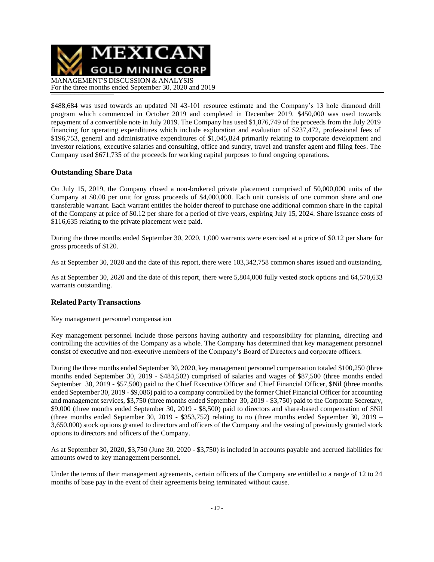

\$488,684 was used towards an updated NI 43-101 resource estimate and the Company's 13 hole diamond drill program which commenced in October 2019 and completed in December 2019. \$450,000 was used towards repayment of a convertible note in July 2019. The Company has used \$1,876,749 of the proceeds from the July 2019 financing for operating expenditures which include exploration and evaluation of \$237,472, professional fees of \$196,753, general and administrative expenditures of \$1,045,824 primarily relating to corporate development and investor relations, executive salaries and consulting, office and sundry, travel and transfer agent and filing fees. The Company used \$671,735 of the proceeds for working capital purposes to fund ongoing operations.

### **Outstanding Share Data**

On July 15, 2019, the Company closed a non-brokered private placement comprised of 50,000,000 units of the Company at \$0.08 per unit for gross proceeds of \$4,000,000. Each unit consists of one common share and one transferable warrant. Each warrant entitles the holder thereof to purchase one additional common share in the capital of the Company at price of \$0.12 per share for a period of five years, expiring July 15, 2024. Share issuance costs of \$116,635 relating to the private placement were paid.

During the three months ended September 30, 2020, 1,000 warrants were exercised at a price of \$0.12 per share for gross proceeds of \$120.

As at September 30, 2020 and the date of this report, there were 103,342,758 common shares issued and outstanding.

As at September 30, 2020 and the date of this report, there were 5,804,000 fully vested stock options and 64,570,633 warrants outstanding.

# **RelatedPartyTransactions**

Key management personnel compensation

Key management personnel include those persons having authority and responsibility for planning, directing and controlling the activities of the Company as a whole. The Company has determined that key management personnel consist of executive and non-executive members of the Company's Board of Directors and corporate officers.

During the three months ended September 30, 2020, key management personnel compensation totaled \$100,250 (three months ended September 30, 2019 - \$484,502) comprised of salaries and wages of \$87,500 (three months ended September 30, 2019 - \$57,500) paid to the Chief Executive Officer and Chief Financial Officer, \$Nil (three months ended September 30, 2019 - \$9,086) paid to a company controlled by the former Chief Financial Officer for accounting and management services, \$3,750 (three months ended September 30, 2019 - \$3,750) paid to the Corporate Secretary, \$9,000 (three months ended September 30, 2019 - \$8,500) paid to directors and share-based compensation of \$Nil (three months ended September 30, 2019 - \$353,752) relating to no (three months ended September 30, 2019 – 3,650,000) stock options granted to directors and officers of the Company and the vesting of previously granted stock options to directors and officers of the Company.

As at September 30, 2020, \$3,750 (June 30, 2020 - \$3,750) is included in accounts payable and accrued liabilities for amounts owed to key management personnel.

Under the terms of their management agreements, certain officers of the Company are entitled to a range of 12 to 24 months of base pay in the event of their agreements being terminated without cause.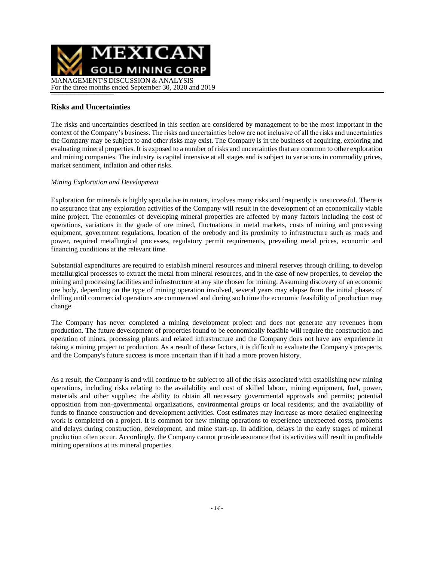

# **Risks and Uncertainties**

The risks and uncertainties described in this section are considered by management to be the most important in the context of the Company's business. The risks and uncertainties below are not inclusive of all the risks and uncertainties the Company may be subject to and other risks may exist. The Company is in the business of acquiring, exploring and evaluating mineral properties. It is exposed to a number of risks and uncertainties that are common to other exploration and mining companies. The industry is capital intensive at all stages and is subject to variations in commodity prices, market sentiment, inflation and other risks.

### *Mining Exploration and Development*

Exploration for minerals is highly speculative in nature, involves many risks and frequently is unsuccessful. There is no assurance that any exploration activities of the Company will result in the development of an economically viable mine project. The economics of developing mineral properties are affected by many factors including the cost of operations, variations in the grade of ore mined, fluctuations in metal markets, costs of mining and processing equipment, government regulations, location of the orebody and its proximity to infrastructure such as roads and power, required metallurgical processes, regulatory permit requirements, prevailing metal prices, economic and financing conditions at the relevant time.

Substantial expenditures are required to establish mineral resources and mineral reserves through drilling, to develop metallurgical processes to extract the metal from mineral resources, and in the case of new properties, to develop the mining and processing facilities and infrastructure at any site chosen for mining. Assuming discovery of an economic ore body, depending on the type of mining operation involved, several years may elapse from the initial phases of drilling until commercial operations are commenced and during such time the economic feasibility of production may change.

The Company has never completed a mining development project and does not generate any revenues from production. The future development of properties found to be economically feasible will require the construction and operation of mines, processing plants and related infrastructure and the Company does not have any experience in taking a mining project to production. As a result of these factors, it is difficult to evaluate the Company's prospects, and the Company's future success is more uncertain than if it had a more proven history.

As a result, the Company is and will continue to be subject to all of the risks associated with establishing new mining operations, including risks relating to the availability and cost of skilled labour, mining equipment, fuel, power, materials and other supplies; the ability to obtain all necessary governmental approvals and permits; potential opposition from non-governmental organizations, environmental groups or local residents; and the availability of funds to finance construction and development activities. Cost estimates may increase as more detailed engineering work is completed on a project. It is common for new mining operations to experience unexpected costs, problems and delays during construction, development, and mine start-up. In addition, delays in the early stages of mineral production often occur. Accordingly, the Company cannot provide assurance that its activities will result in profitable mining operations at its mineral properties.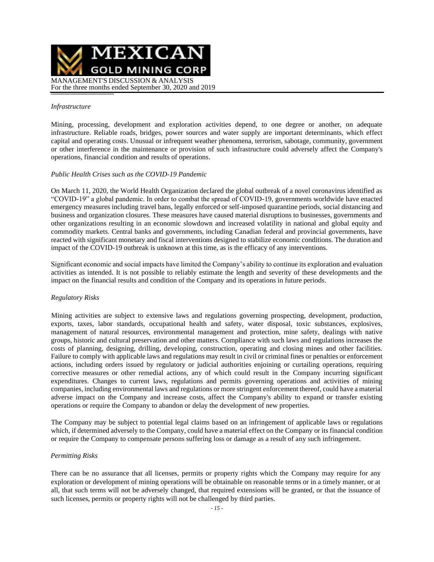

#### *Infrastructure*

Mining, processing, development and exploration activities depend, to one degree or another, on adequate infrastructure. Reliable roads, bridges, power sources and water supply are important determinants, which effect capital and operating costs. Unusual or infrequent weather phenomena, terrorism, sabotage, community, government or other interference in the maintenance or provision of such infrastructure could adversely affect the Company's operations, financial condition and results of operations.

#### *Public Health Crises such as the COVID-19 Pandemic*

On March 11, 2020, the World Health Organization declared the global outbreak of a novel coronavirus identified as "COVID-19" a global pandemic. In order to combat the spread of COVID-19, governments worldwide have enacted emergency measures including travel bans, legally enforced or self-imposed quarantine periods, social distancing and business and organization closures. These measures have caused material disruptions to businesses, governments and other organizations resulting in an economic slowdown and increased volatility in national and global equity and commodity markets. Central banks and governments, including Canadian federal and provincial governments, have reacted with significant monetary and fiscal interventions designed to stabilize economic conditions. The duration and impact of the COVID-19 outbreak is unknown at this time, as is the efficacy of any interventions.

Significant economic and social impacts have limited the Company's ability to continue its exploration and evaluation activities as intended. It is not possible to reliably estimate the length and severity of these developments and the impact on the financial results and condition of the Company and its operations in future periods.

#### *Regulatory Risks*

Mining activities are subject to extensive laws and regulations governing prospecting, development, production, exports, taxes, labor standards, occupational health and safety, water disposal, toxic substances, explosives, management of natural resources, environmental management and protection, mine safety, dealings with native groups, historic and cultural preservation and other matters. Compliance with such laws and regulations increases the costs of planning, designing, drilling, developing, construction, operating and closing mines and other facilities. Failure to comply with applicable laws and regulations may result in civil or criminal fines or penalties or enforcement actions, including orders issued by regulatory or judicial authorities enjoining or curtailing operations, requiring corrective measures or other remedial actions, any of which could result in the Company incurring significant expenditures. Changes to current laws, regulations and permits governing operations and activities of mining companies, including environmental laws and regulations or more stringent enforcement thereof, could have a material adverse impact on the Company and increase costs, affect the Company's ability to expand or transfer existing operations or require the Company to abandon or delay the development of new properties.

The Company may be subject to potential legal claims based on an infringement of applicable laws or regulations which, if determined adversely to the Company, could have a material effect on the Company or its financial condition or require the Company to compensate persons suffering loss or damage as a result of any such infringement.

#### *Permitting Risks*

There can be no assurance that all licenses, permits or property rights which the Company may require for any exploration or development of mining operations will be obtainable on reasonable terms or in a timely manner, or at all, that such terms will not be adversely changed, that required extensions will be granted, or that the issuance of such licenses, permits or property rights will not be challenged by third parties.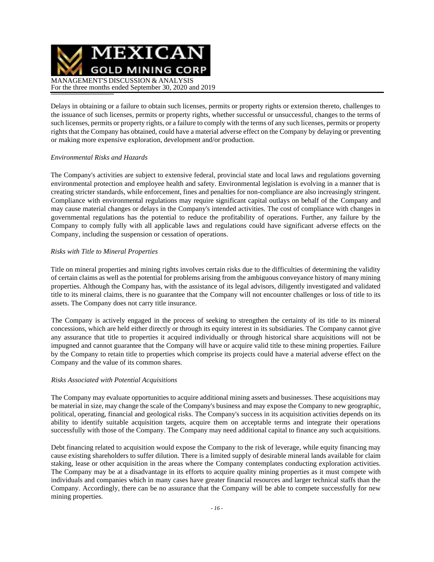MEXICAN **GOLD MINING CORP** MANAGEMENT'S DISCUSSION & ANALYSIS For the three months ended September 30, 2020 and 2019

Delays in obtaining or a failure to obtain such licenses, permits or property rights or extension thereto, challenges to the issuance of such licenses, permits or property rights, whether successful or unsuccessful, changes to the terms of such licenses, permits or property rights, or a failure to comply with the terms of any such licenses, permits or property rights that the Company has obtained, could have a material adverse effect on the Company by delaying or preventing or making more expensive exploration, development and/or production.

### *Environmental Risks and Hazards*

The Company's activities are subject to extensive federal, provincial state and local laws and regulations governing environmental protection and employee health and safety. Environmental legislation is evolving in a manner that is creating stricter standards, while enforcement, fines and penalties for non-compliance are also increasingly stringent. Compliance with environmental regulations may require significant capital outlays on behalf of the Company and may cause material changes or delays in the Company's intended activities. The cost of compliance with changes in governmental regulations has the potential to reduce the profitability of operations. Further, any failure by the Company to comply fully with all applicable laws and regulations could have significant adverse effects on the Company, including the suspension or cessation of operations.

### *Risks with Title to Mineral Properties*

Title on mineral properties and mining rights involves certain risks due to the difficulties of determining the validity of certain claims as well as the potential for problems arising from the ambiguous conveyance history of many mining properties. Although the Company has, with the assistance of its legal advisors, diligently investigated and validated title to its mineral claims, there is no guarantee that the Company will not encounter challenges or loss of title to its assets. The Company does not carry title insurance.

The Company is actively engaged in the process of seeking to strengthen the certainty of its title to its mineral concessions, which are held either directly or through its equity interest in its subsidiaries. The Company cannot give any assurance that title to properties it acquired individually or through historical share acquisitions will not be impugned and cannot guarantee that the Company will have or acquire valid title to these mining properties. Failure by the Company to retain title to properties which comprise its projects could have a material adverse effect on the Company and the value of its common shares.

#### *Risks Associated with Potential Acquisitions*

The Company may evaluate opportunities to acquire additional mining assets and businesses. These acquisitions may be material in size, may change the scale of the Company's business and may expose the Company to new geographic, political, operating, financial and geological risks. The Company's success in its acquisition activities depends on its ability to identify suitable acquisition targets, acquire them on acceptable terms and integrate their operations successfully with those of the Company. The Company may need additional capital to finance any such acquisitions.

Debt financing related to acquisition would expose the Company to the risk of leverage, while equity financing may cause existing shareholders to suffer dilution. There is a limited supply of desirable mineral lands available for claim staking, lease or other acquisition in the areas where the Company contemplates conducting exploration activities. The Company may be at a disadvantage in its efforts to acquire quality mining properties as it must compete with individuals and companies which in many cases have greater financial resources and larger technical staffs than the Company. Accordingly, there can be no assurance that the Company will be able to compete successfully for new mining properties.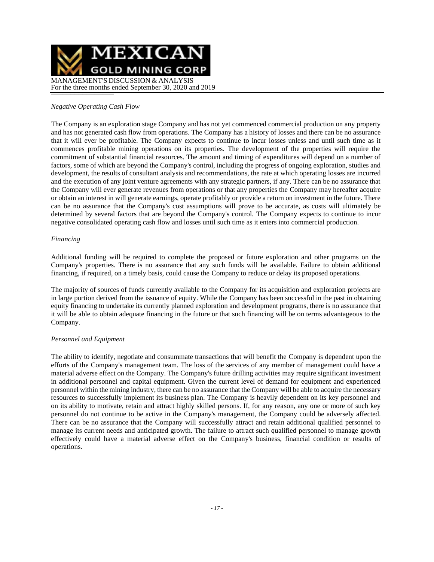

### *Negative Operating Cash Flow*

The Company is an exploration stage Company and has not yet commenced commercial production on any property and has not generated cash flow from operations. The Company has a history of losses and there can be no assurance that it will ever be profitable. The Company expects to continue to incur losses unless and until such time as it commences profitable mining operations on its properties. The development of the properties will require the commitment of substantial financial resources. The amount and timing of expenditures will depend on a number of factors, some of which are beyond the Company's control, including the progress of ongoing exploration, studies and development, the results of consultant analysis and recommendations, the rate at which operating losses are incurred and the execution of any joint venture agreements with any strategic partners, if any. There can be no assurance that the Company will ever generate revenues from operations or that any properties the Company may hereafter acquire or obtain an interest in will generate earnings, operate profitably or provide a return on investment in the future. There can be no assurance that the Company's cost assumptions will prove to be accurate, as costs will ultimately be determined by several factors that are beyond the Company's control. The Company expects to continue to incur negative consolidated operating cash flow and losses until such time as it enters into commercial production.

#### *Financing*

Additional funding will be required to complete the proposed or future exploration and other programs on the Company's properties. There is no assurance that any such funds will be available. Failure to obtain additional financing, if required, on a timely basis, could cause the Company to reduce or delay its proposed operations.

The majority of sources of funds currently available to the Company for its acquisition and exploration projects are in large portion derived from the issuance of equity. While the Company has been successful in the past in obtaining equity financing to undertake its currently planned exploration and development programs, there is no assurance that it will be able to obtain adequate financing in the future or that such financing will be on terms advantageous to the Company.

### *Personnel and Equipment*

The ability to identify, negotiate and consummate transactions that will benefit the Company is dependent upon the efforts of the Company's management team. The loss of the services of any member of management could have a material adverse effect on the Company. The Company's future drilling activities may require significant investment in additional personnel and capital equipment. Given the current level of demand for equipment and experienced personnel within the mining industry, there can be no assurance that the Company will be able to acquire the necessary resources to successfully implement its business plan. The Company is heavily dependent on its key personnel and on its ability to motivate, retain and attract highly skilled persons. If, for any reason, any one or more of such key personnel do not continue to be active in the Company's management, the Company could be adversely affected. There can be no assurance that the Company will successfully attract and retain additional qualified personnel to manage its current needs and anticipated growth. The failure to attract such qualified personnel to manage growth effectively could have a material adverse effect on the Company's business, financial condition or results of operations.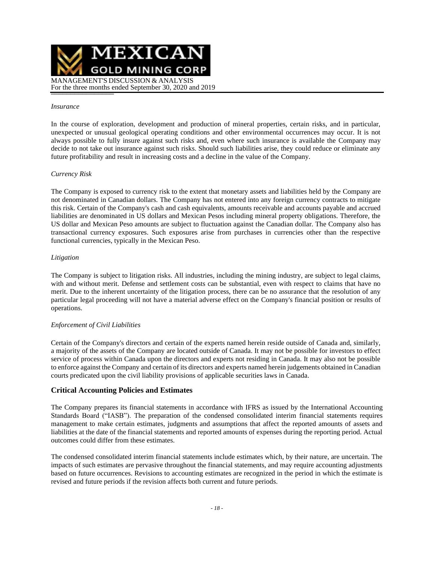

#### *Insurance*

In the course of exploration, development and production of mineral properties, certain risks, and in particular, unexpected or unusual geological operating conditions and other environmental occurrences may occur. It is not always possible to fully insure against such risks and, even where such insurance is available the Company may decide to not take out insurance against such risks. Should such liabilities arise, they could reduce or eliminate any future profitability and result in increasing costs and a decline in the value of the Company.

#### *Currency Risk*

The Company is exposed to currency risk to the extent that monetary assets and liabilities held by the Company are not denominated in Canadian dollars. The Company has not entered into any foreign currency contracts to mitigate this risk. Certain of the Company's cash and cash equivalents, amounts receivable and accounts payable and accrued liabilities are denominated in US dollars and Mexican Pesos including mineral property obligations. Therefore, the US dollar and Mexican Peso amounts are subject to fluctuation against the Canadian dollar. The Company also has transactional currency exposures. Such exposures arise from purchases in currencies other than the respective functional currencies, typically in the Mexican Peso.

#### *Litigation*

The Company is subject to litigation risks. All industries, including the mining industry, are subject to legal claims, with and without merit. Defense and settlement costs can be substantial, even with respect to claims that have no merit. Due to the inherent uncertainty of the litigation process, there can be no assurance that the resolution of any particular legal proceeding will not have a material adverse effect on the Company's financial position or results of operations.

#### *Enforcement of Civil Liabilities*

Certain of the Company's directors and certain of the experts named herein reside outside of Canada and, similarly, a majority of the assets of the Company are located outside of Canada. It may not be possible for investors to effect service of process within Canada upon the directors and experts not residing in Canada. It may also not be possible to enforce against the Company and certain of its directors and experts named herein judgements obtained in Canadian courts predicated upon the civil liability provisions of applicable securities laws in Canada.

### **Critical Accounting Policies and Estimates**

The Company prepares its financial statements in accordance with IFRS as issued by the International Accounting Standards Board ("IASB"). The preparation of the condensed consolidated interim financial statements requires management to make certain estimates, judgments and assumptions that affect the reported amounts of assets and liabilities at the date of the financial statements and reported amounts of expenses during the reporting period. Actual outcomes could differ from these estimates.

The condensed consolidated interim financial statements include estimates which, by their nature, are uncertain. The impacts of such estimates are pervasive throughout the financial statements, and may require accounting adjustments based on future occurrences. Revisions to accounting estimates are recognized in the period in which the estimate is revised and future periods if the revision affects both current and future periods.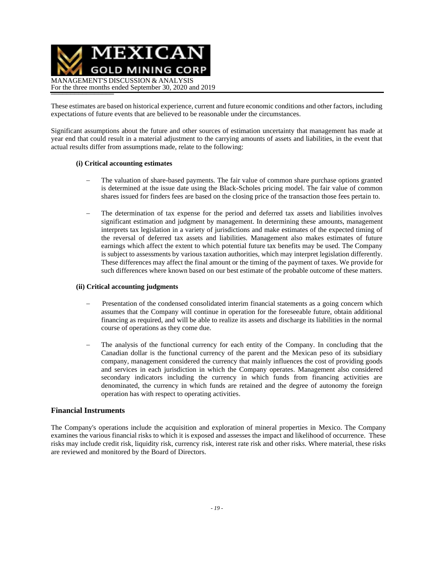

These estimates are based on historical experience, current and future economic conditions and other factors, including expectations of future events that are believed to be reasonable under the circumstances.

Significant assumptions about the future and other sources of estimation uncertainty that management has made at year end that could result in a material adjustment to the carrying amounts of assets and liabilities, in the event that actual results differ from assumptions made, relate to the following:

#### **(i) Critical accounting estimates**

- The valuation of share-based payments. The fair value of common share purchase options granted is determined at the issue date using the Black-Scholes pricing model. The fair value of common shares issued for finders fees are based on the closing price of the transaction those fees pertain to.
- The determination of tax expense for the period and deferred tax assets and liabilities involves significant estimation and judgment by management. In determining these amounts, management interprets tax legislation in a variety of jurisdictions and make estimates of the expected timing of the reversal of deferred tax assets and liabilities. Management also makes estimates of future earnings which affect the extent to which potential future tax benefits may be used. The Company is subject to assessments by various taxation authorities, which may interpret legislation differently. These differences may affect the final amount or the timing of the payment of taxes. We provide for such differences where known based on our best estimate of the probable outcome of these matters.

#### **(ii) Critical accounting judgments**

- Presentation of the condensed consolidated interim financial statements as a going concern which assumes that the Company will continue in operation for the foreseeable future, obtain additional financing as required, and will be able to realize its assets and discharge its liabilities in the normal course of operations as they come due.
- The analysis of the functional currency for each entity of the Company. In concluding that the Canadian dollar is the functional currency of the parent and the Mexican peso of its subsidiary company, management considered the currency that mainly influences the cost of providing goods and services in each jurisdiction in which the Company operates. Management also considered secondary indicators including the currency in which funds from financing activities are denominated, the currency in which funds are retained and the degree of autonomy the foreign operation has with respect to operating activities.

### **Financial Instruments**

The Company's operations include the acquisition and exploration of mineral properties in Mexico. The Company examines the various financial risks to which it is exposed and assesses the impact and likelihood of occurrence. These risks may include credit risk, liquidity risk, currency risk, interest rate risk and other risks. Where material, these risks are reviewed and monitored by the Board of Directors.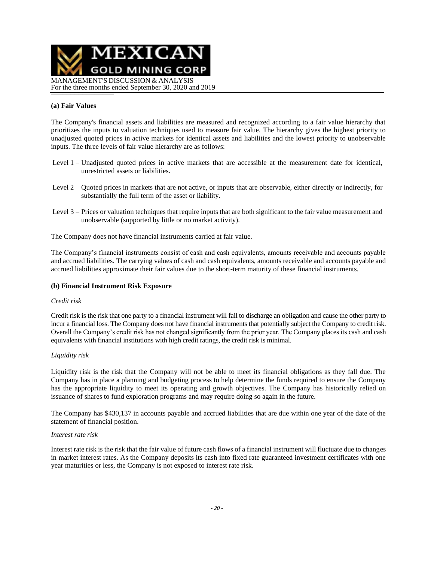

### **(a) Fair Values**

The Company's financial assets and liabilities are measured and recognized according to a fair value hierarchy that prioritizes the inputs to valuation techniques used to measure fair value. The hierarchy gives the highest priority to unadjusted quoted prices in active markets for identical assets and liabilities and the lowest priority to unobservable inputs. The three levels of fair value hierarchy are as follows:

- Level 1 Unadjusted quoted prices in active markets that are accessible at the measurement date for identical, unrestricted assets or liabilities.
- Level 2 Quoted prices in markets that are not active, or inputs that are observable, either directly or indirectly, for substantially the full term of the asset or liability.
- Level 3 Prices or valuation techniques that require inputs that are both significant to the fair value measurement and unobservable (supported by little or no market activity).

The Company does not have financial instruments carried at fair value.

The Company's financial instruments consist of cash and cash equivalents, amounts receivable and accounts payable and accrued liabilities. The carrying values of cash and cash equivalents, amounts receivable and accounts payable and accrued liabilities approximate their fair values due to the short-term maturity of these financial instruments.

#### **(b) Financial Instrument Risk Exposure**

#### *Credit risk*

Credit risk is the risk that one party to a financial instrument will fail to discharge an obligation and cause the other party to incur a financial loss. The Company does not have financial instruments that potentially subject the Company to credit risk. Overall the Company's credit risk has not changed significantly from the prior year. The Company places its cash and cash equivalents with financial institutions with high credit ratings, the credit risk is minimal.

#### *Liquidity risk*

Liquidity risk is the risk that the Company will not be able to meet its financial obligations as they fall due. The Company has in place a planning and budgeting process to help determine the funds required to ensure the Company has the appropriate liquidity to meet its operating and growth objectives. The Company has historically relied on issuance of shares to fund exploration programs and may require doing so again in the future.

The Company has \$430,137 in accounts payable and accrued liabilities that are due within one year of the date of the statement of financial position.

#### *Interest rate risk*

Interest rate risk is the risk that the fair value of future cash flows of a financial instrument will fluctuate due to changes in market interest rates. As the Company deposits its cash into fixed rate guaranteed investment certificates with one year maturities or less, the Company is not exposed to interest rate risk.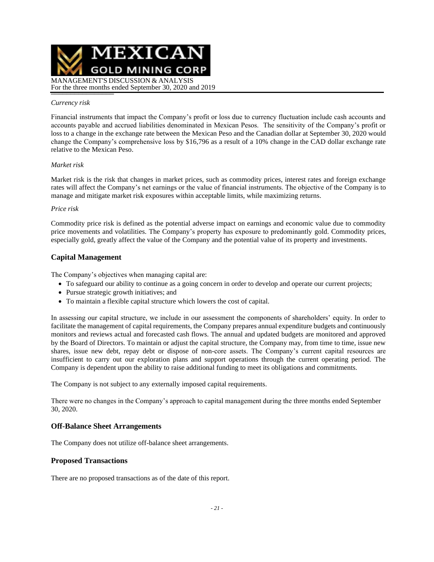

#### *Currency risk*

Financial instruments that impact the Company's profit or loss due to currency fluctuation include cash accounts and accounts payable and accrued liabilities denominated in Mexican Pesos. The sensitivity of the Company's profit or loss to a change in the exchange rate between the Mexican Peso and the Canadian dollar at September 30, 2020 would change the Company's comprehensive loss by \$16,796 as a result of a 10% change in the CAD dollar exchange rate relative to the Mexican Peso.

#### *Market risk*

Market risk is the risk that changes in market prices, such as commodity prices, interest rates and foreign exchange rates will affect the Company's net earnings or the value of financial instruments. The objective of the Company is to manage and mitigate market risk exposures within acceptable limits, while maximizing returns.

#### *Price risk*

Commodity price risk is defined as the potential adverse impact on earnings and economic value due to commodity price movements and volatilities. The Company's property has exposure to predominantly gold. Commodity prices, especially gold, greatly affect the value of the Company and the potential value of its property and investments.

### **Capital Management**

The Company's objectives when managing capital are:

- To safeguard our ability to continue as a going concern in order to develop and operate our current projects;
- Pursue strategic growth initiatives; and
- To maintain a flexible capital structure which lowers the cost of capital.

In assessing our capital structure, we include in our assessment the components of shareholders' equity. In order to facilitate the management of capital requirements, the Company prepares annual expenditure budgets and continuously monitors and reviews actual and forecasted cash flows. The annual and updated budgets are monitored and approved by the Board of Directors. To maintain or adjust the capital structure, the Company may, from time to time, issue new shares, issue new debt, repay debt or dispose of non-core assets. The Company's current capital resources are insufficient to carry out our exploration plans and support operations through the current operating period. The Company is dependent upon the ability to raise additional funding to meet its obligations and commitments.

The Company is not subject to any externally imposed capital requirements.

There were no changes in the Company's approach to capital management during the three months ended September 30, 2020.

#### **Off-Balance Sheet Arrangements**

The Company does not utilize off-balance sheet arrangements.

### **Proposed Transactions**

There are no proposed transactions as of the date of this report.